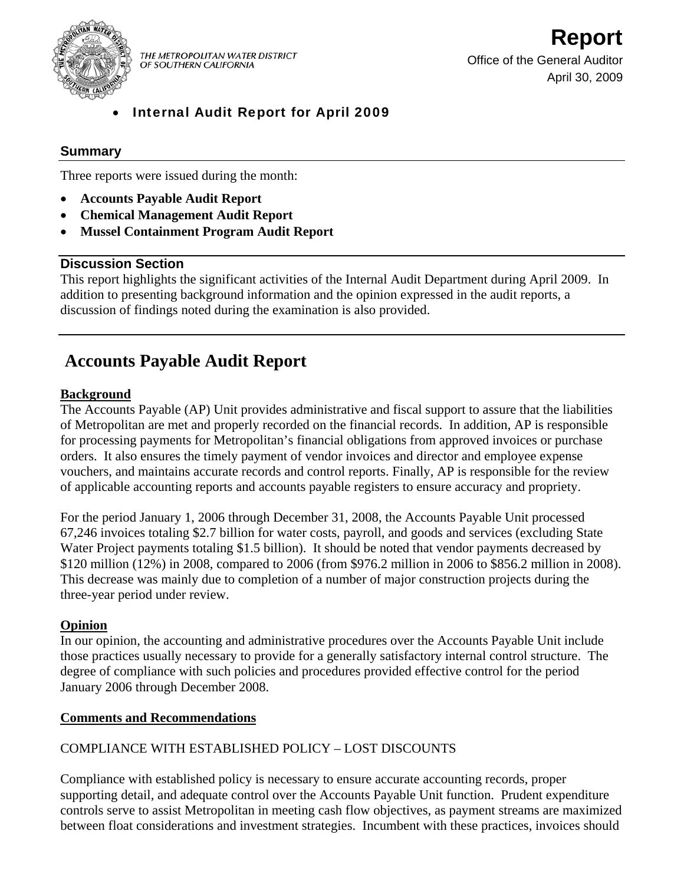

THE METROPOLITAN WATER DISTRICT OF SOUTHERN CALIFORNIA

• Internal Audit Report for April 2009

## **Summary**

Three reports were issued during the month:

- **Accounts Payable Audit Report**
- **Chemical Management Audit Report**
- **Mussel Containment Program Audit Report**

## **Discussion Section**

This report highlights the significant activities of the Internal Audit Department during April 2009. In addition to presenting background information and the opinion expressed in the audit reports, a discussion of findings noted during the examination is also provided.

# **Accounts Payable Audit Report**

## **Background**

The Accounts Payable (AP) Unit provides administrative and fiscal support to assure that the liabilities of Metropolitan are met and properly recorded on the financial records. In addition, AP is responsible for processing payments for Metropolitan's financial obligations from approved invoices or purchase orders. It also ensures the timely payment of vendor invoices and director and employee expense vouchers, and maintains accurate records and control reports. Finally, AP is responsible for the review of applicable accounting reports and accounts payable registers to ensure accuracy and propriety.

For the period January 1, 2006 through December 31, 2008, the Accounts Payable Unit processed 67,246 invoices totaling \$2.7 billion for water costs, payroll, and goods and services (excluding State Water Project payments totaling \$1.5 billion). It should be noted that vendor payments decreased by \$120 million (12%) in 2008, compared to 2006 (from \$976.2 million in 2006 to \$856.2 million in 2008). This decrease was mainly due to completion of a number of major construction projects during the three-year period under review.

## **Opinion**

In our opinion, the accounting and administrative procedures over the Accounts Payable Unit include those practices usually necessary to provide for a generally satisfactory internal control structure. The degree of compliance with such policies and procedures provided effective control for the period January 2006 through December 2008.

#### **Comments and Recommendations**

## COMPLIANCE WITH ESTABLISHED POLICY – LOST DISCOUNTS

Compliance with established policy is necessary to ensure accurate accounting records, proper supporting detail, and adequate control over the Accounts Payable Unit function. Prudent expenditure controls serve to assist Metropolitan in meeting cash flow objectives, as payment streams are maximized between float considerations and investment strategies. Incumbent with these practices, invoices should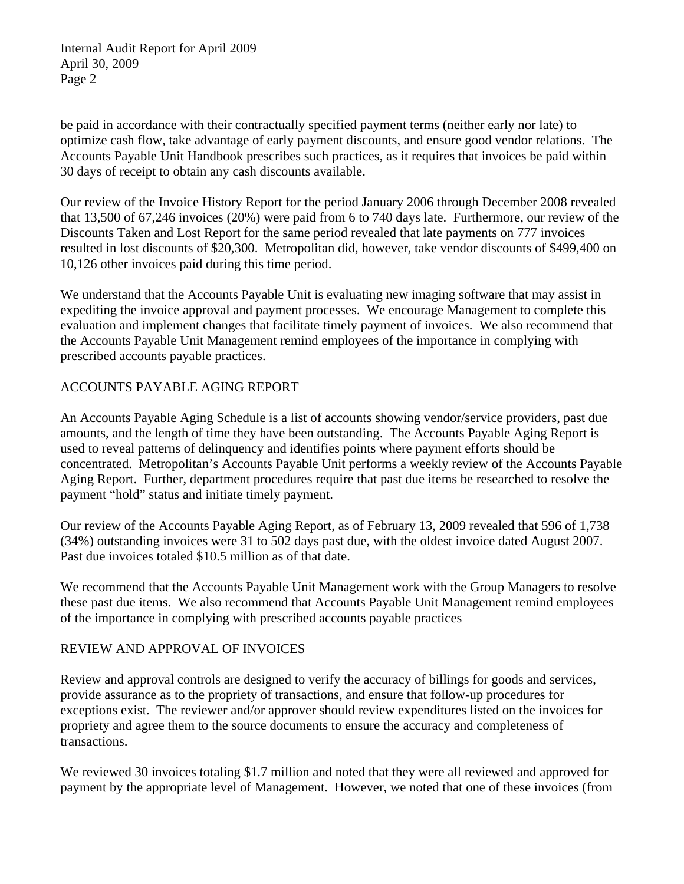be paid in accordance with their contractually specified payment terms (neither early nor late) to optimize cash flow, take advantage of early payment discounts, and ensure good vendor relations. The Accounts Payable Unit Handbook prescribes such practices, as it requires that invoices be paid within 30 days of receipt to obtain any cash discounts available.

Our review of the Invoice History Report for the period January 2006 through December 2008 revealed that 13,500 of 67,246 invoices (20%) were paid from 6 to 740 days late. Furthermore, our review of the Discounts Taken and Lost Report for the same period revealed that late payments on 777 invoices resulted in lost discounts of \$20,300. Metropolitan did, however, take vendor discounts of \$499,400 on 10,126 other invoices paid during this time period.

We understand that the Accounts Payable Unit is evaluating new imaging software that may assist in expediting the invoice approval and payment processes. We encourage Management to complete this evaluation and implement changes that facilitate timely payment of invoices. We also recommend that the Accounts Payable Unit Management remind employees of the importance in complying with prescribed accounts payable practices.

## ACCOUNTS PAYABLE AGING REPORT

An Accounts Payable Aging Schedule is a list of accounts showing vendor/service providers, past due amounts, and the length of time they have been outstanding. The Accounts Payable Aging Report is used to reveal patterns of delinquency and identifies points where payment efforts should be concentrated. Metropolitan's Accounts Payable Unit performs a weekly review of the Accounts Payable Aging Report. Further, department procedures require that past due items be researched to resolve the payment "hold" status and initiate timely payment.

Our review of the Accounts Payable Aging Report, as of February 13, 2009 revealed that 596 of 1,738 (34%) outstanding invoices were 31 to 502 days past due, with the oldest invoice dated August 2007. Past due invoices totaled \$10.5 million as of that date.

We recommend that the Accounts Payable Unit Management work with the Group Managers to resolve these past due items. We also recommend that Accounts Payable Unit Management remind employees of the importance in complying with prescribed accounts payable practices

## REVIEW AND APPROVAL OF INVOICES

Review and approval controls are designed to verify the accuracy of billings for goods and services, provide assurance as to the propriety of transactions, and ensure that follow-up procedures for exceptions exist. The reviewer and/or approver should review expenditures listed on the invoices for propriety and agree them to the source documents to ensure the accuracy and completeness of transactions.

We reviewed 30 invoices totaling \$1.7 million and noted that they were all reviewed and approved for payment by the appropriate level of Management. However, we noted that one of these invoices (from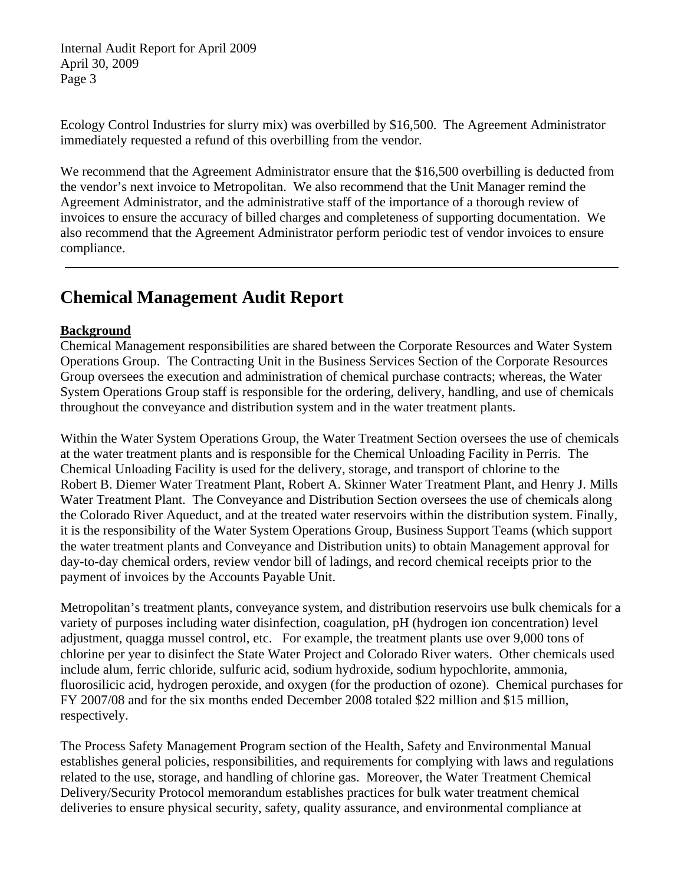Ecology Control Industries for slurry mix) was overbilled by \$16,500. The Agreement Administrator immediately requested a refund of this overbilling from the vendor.

We recommend that the Agreement Administrator ensure that the \$16,500 overbilling is deducted from the vendor's next invoice to Metropolitan. We also recommend that the Unit Manager remind the Agreement Administrator, and the administrative staff of the importance of a thorough review of invoices to ensure the accuracy of billed charges and completeness of supporting documentation. We also recommend that the Agreement Administrator perform periodic test of vendor invoices to ensure compliance.

# **Chemical Management Audit Report**

## **Background**

Chemical Management responsibilities are shared between the Corporate Resources and Water System Operations Group. The Contracting Unit in the Business Services Section of the Corporate Resources Group oversees the execution and administration of chemical purchase contracts; whereas, the Water System Operations Group staff is responsible for the ordering, delivery, handling, and use of chemicals throughout the conveyance and distribution system and in the water treatment plants.

Within the Water System Operations Group, the Water Treatment Section oversees the use of chemicals at the water treatment plants and is responsible for the Chemical Unloading Facility in Perris. The Chemical Unloading Facility is used for the delivery, storage, and transport of chlorine to the Robert B. Diemer Water Treatment Plant, Robert A. Skinner Water Treatment Plant, and Henry J. Mills Water Treatment Plant. The Conveyance and Distribution Section oversees the use of chemicals along the Colorado River Aqueduct, and at the treated water reservoirs within the distribution system. Finally, it is the responsibility of the Water System Operations Group, Business Support Teams (which support the water treatment plants and Conveyance and Distribution units) to obtain Management approval for day-to-day chemical orders, review vendor bill of ladings, and record chemical receipts prior to the payment of invoices by the Accounts Payable Unit.

Metropolitan's treatment plants, conveyance system, and distribution reservoirs use bulk chemicals for a variety of purposes including water disinfection, coagulation, pH (hydrogen ion concentration) level adjustment, quagga mussel control, etc. For example, the treatment plants use over 9,000 tons of chlorine per year to disinfect the State Water Project and Colorado River waters. Other chemicals used include alum, ferric chloride, sulfuric acid, sodium hydroxide, sodium hypochlorite, ammonia, fluorosilicic acid, hydrogen peroxide, and oxygen (for the production of ozone). Chemical purchases for FY 2007/08 and for the six months ended December 2008 totaled \$22 million and \$15 million, respectively.

The Process Safety Management Program section of the Health, Safety and Environmental Manual establishes general policies, responsibilities, and requirements for complying with laws and regulations related to the use, storage, and handling of chlorine gas. Moreover, the Water Treatment Chemical Delivery/Security Protocol memorandum establishes practices for bulk water treatment chemical deliveries to ensure physical security, safety, quality assurance, and environmental compliance at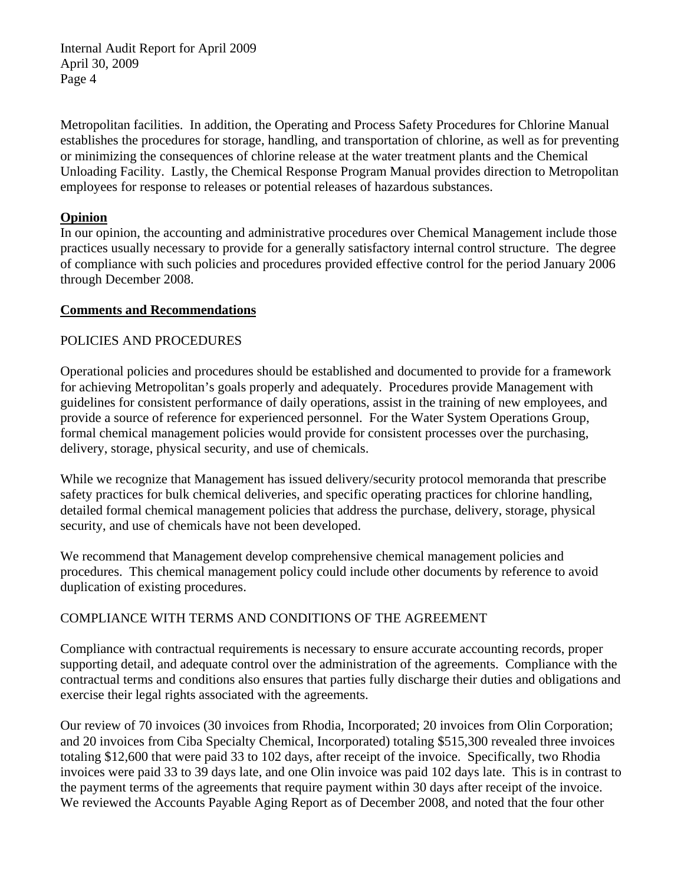Metropolitan facilities. In addition, the Operating and Process Safety Procedures for Chlorine Manual establishes the procedures for storage, handling, and transportation of chlorine, as well as for preventing or minimizing the consequences of chlorine release at the water treatment plants and the Chemical Unloading Facility. Lastly, the Chemical Response Program Manual provides direction to Metropolitan employees for response to releases or potential releases of hazardous substances.

### **Opinion**

In our opinion, the accounting and administrative procedures over Chemical Management include those practices usually necessary to provide for a generally satisfactory internal control structure. The degree of compliance with such policies and procedures provided effective control for the period January 2006 through December 2008.

### **Comments and Recommendations**

### POLICIES AND PROCEDURES

Operational policies and procedures should be established and documented to provide for a framework for achieving Metropolitan's goals properly and adequately. Procedures provide Management with guidelines for consistent performance of daily operations, assist in the training of new employees, and provide a source of reference for experienced personnel. For the Water System Operations Group, formal chemical management policies would provide for consistent processes over the purchasing, delivery, storage, physical security, and use of chemicals.

While we recognize that Management has issued delivery/security protocol memoranda that prescribe safety practices for bulk chemical deliveries, and specific operating practices for chlorine handling, detailed formal chemical management policies that address the purchase, delivery, storage, physical security, and use of chemicals have not been developed.

We recommend that Management develop comprehensive chemical management policies and procedures. This chemical management policy could include other documents by reference to avoid duplication of existing procedures.

## COMPLIANCE WITH TERMS AND CONDITIONS OF THE AGREEMENT

Compliance with contractual requirements is necessary to ensure accurate accounting records, proper supporting detail, and adequate control over the administration of the agreements. Compliance with the contractual terms and conditions also ensures that parties fully discharge their duties and obligations and exercise their legal rights associated with the agreements.

Our review of 70 invoices (30 invoices from Rhodia, Incorporated; 20 invoices from Olin Corporation; and 20 invoices from Ciba Specialty Chemical, Incorporated) totaling \$515,300 revealed three invoices totaling \$12,600 that were paid 33 to 102 days, after receipt of the invoice. Specifically, two Rhodia invoices were paid 33 to 39 days late, and one Olin invoice was paid 102 days late. This is in contrast to the payment terms of the agreements that require payment within 30 days after receipt of the invoice. We reviewed the Accounts Payable Aging Report as of December 2008, and noted that the four other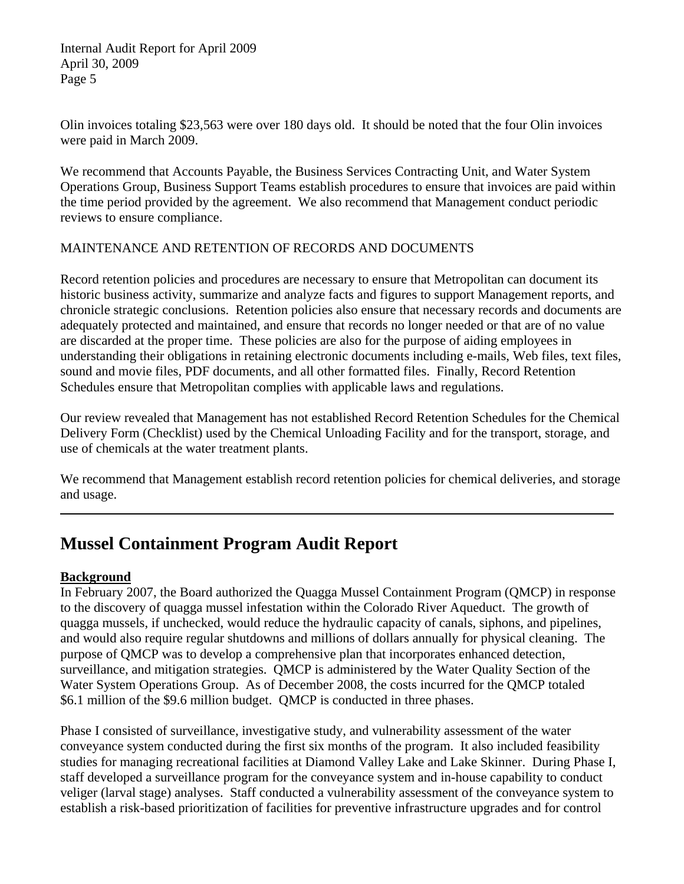Olin invoices totaling \$23,563 were over 180 days old. It should be noted that the four Olin invoices were paid in March 2009.

We recommend that Accounts Payable, the Business Services Contracting Unit, and Water System Operations Group, Business Support Teams establish procedures to ensure that invoices are paid within the time period provided by the agreement. We also recommend that Management conduct periodic reviews to ensure compliance.

## MAINTENANCE AND RETENTION OF RECORDS AND DOCUMENTS

Record retention policies and procedures are necessary to ensure that Metropolitan can document its historic business activity, summarize and analyze facts and figures to support Management reports, and chronicle strategic conclusions. Retention policies also ensure that necessary records and documents are adequately protected and maintained, and ensure that records no longer needed or that are of no value are discarded at the proper time. These policies are also for the purpose of aiding employees in understanding their obligations in retaining electronic documents including e-mails, Web files, text files, sound and movie files, PDF documents, and all other formatted files. Finally, Record Retention Schedules ensure that Metropolitan complies with applicable laws and regulations.

Our review revealed that Management has not established Record Retention Schedules for the Chemical Delivery Form (Checklist) used by the Chemical Unloading Facility and for the transport, storage, and use of chemicals at the water treatment plants.

We recommend that Management establish record retention policies for chemical deliveries, and storage and usage.

# **Mussel Containment Program Audit Report**

## **Background**

In February 2007, the Board authorized the Quagga Mussel Containment Program (QMCP) in response to the discovery of quagga mussel infestation within the Colorado River Aqueduct. The growth of quagga mussels, if unchecked, would reduce the hydraulic capacity of canals, siphons, and pipelines, and would also require regular shutdowns and millions of dollars annually for physical cleaning. The purpose of QMCP was to develop a comprehensive plan that incorporates enhanced detection, surveillance, and mitigation strategies. QMCP is administered by the Water Quality Section of the Water System Operations Group. As of December 2008, the costs incurred for the QMCP totaled \$6.1 million of the \$9.6 million budget. QMCP is conducted in three phases.

Phase I consisted of surveillance, investigative study, and vulnerability assessment of the water conveyance system conducted during the first six months of the program. It also included feasibility studies for managing recreational facilities at Diamond Valley Lake and Lake Skinner. During Phase I, staff developed a surveillance program for the conveyance system and in-house capability to conduct veliger (larval stage) analyses. Staff conducted a vulnerability assessment of the conveyance system to establish a risk-based prioritization of facilities for preventive infrastructure upgrades and for control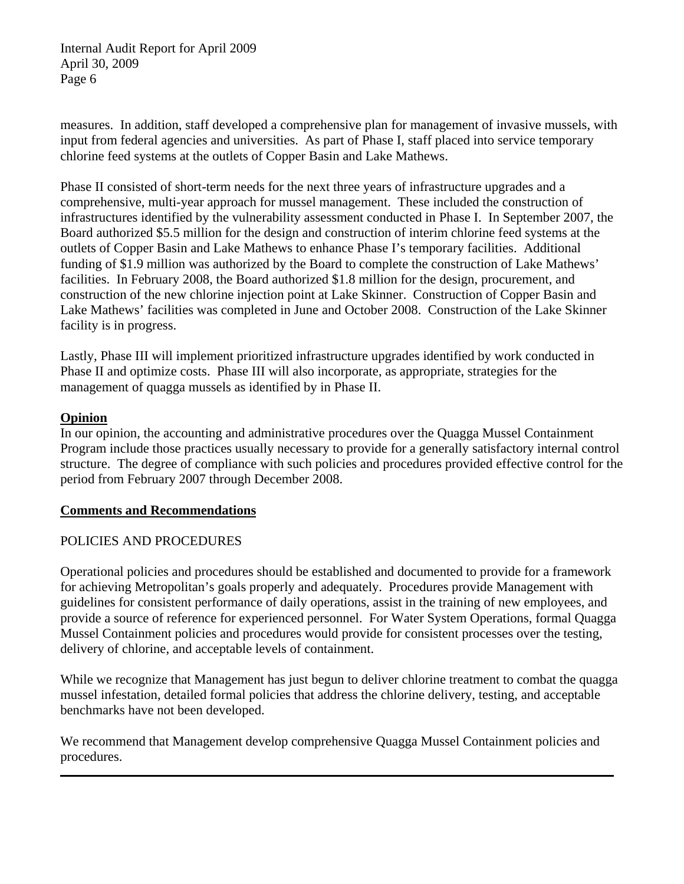measures. In addition, staff developed a comprehensive plan for management of invasive mussels, with input from federal agencies and universities. As part of Phase I, staff placed into service temporary chlorine feed systems at the outlets of Copper Basin and Lake Mathews.

Phase II consisted of short-term needs for the next three years of infrastructure upgrades and a comprehensive, multi-year approach for mussel management. These included the construction of infrastructures identified by the vulnerability assessment conducted in Phase I. In September 2007, the Board authorized \$5.5 million for the design and construction of interim chlorine feed systems at the outlets of Copper Basin and Lake Mathews to enhance Phase I's temporary facilities. Additional funding of \$1.9 million was authorized by the Board to complete the construction of Lake Mathews' facilities. In February 2008, the Board authorized \$1.8 million for the design, procurement, and construction of the new chlorine injection point at Lake Skinner. Construction of Copper Basin and Lake Mathews' facilities was completed in June and October 2008. Construction of the Lake Skinner facility is in progress.

Lastly, Phase III will implement prioritized infrastructure upgrades identified by work conducted in Phase II and optimize costs. Phase III will also incorporate, as appropriate, strategies for the management of quagga mussels as identified by in Phase II.

### **Opinion**

In our opinion, the accounting and administrative procedures over the Quagga Mussel Containment Program include those practices usually necessary to provide for a generally satisfactory internal control structure. The degree of compliance with such policies and procedures provided effective control for the period from February 2007 through December 2008.

#### **Comments and Recommendations**

#### POLICIES AND PROCEDURES

Operational policies and procedures should be established and documented to provide for a framework for achieving Metropolitan's goals properly and adequately. Procedures provide Management with guidelines for consistent performance of daily operations, assist in the training of new employees, and provide a source of reference for experienced personnel. For Water System Operations, formal Quagga Mussel Containment policies and procedures would provide for consistent processes over the testing, delivery of chlorine, and acceptable levels of containment.

While we recognize that Management has just begun to deliver chlorine treatment to combat the quagga mussel infestation, detailed formal policies that address the chlorine delivery, testing, and acceptable benchmarks have not been developed.

We recommend that Management develop comprehensive Quagga Mussel Containment policies and procedures.